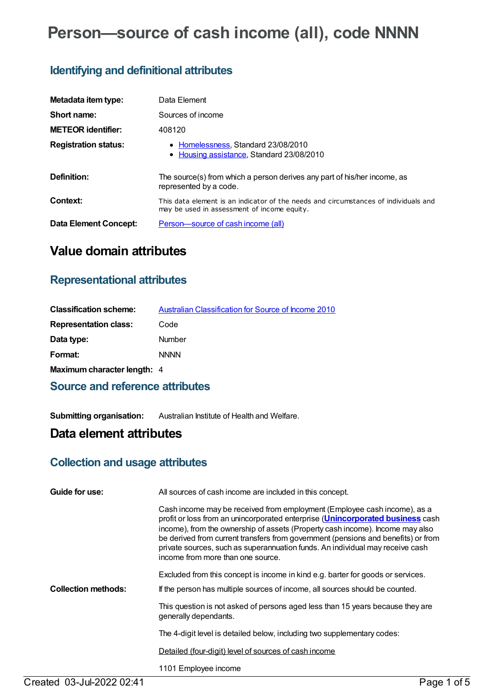# **Person—source of cash income (all), code NNNN**

### **Identifying and definitional attributes**

| Metadata item type:         | Data Element                                                                                                                       |
|-----------------------------|------------------------------------------------------------------------------------------------------------------------------------|
| Short name:                 | Sources of income                                                                                                                  |
| <b>METEOR identifier:</b>   | 408120                                                                                                                             |
| <b>Registration status:</b> | • Homelessness, Standard 23/08/2010<br>• Housing assistance, Standard 23/08/2010                                                   |
| Definition:                 | The source(s) from which a person derives any part of his/her income, as<br>represented by a code.                                 |
| Context:                    | This data element is an indicator of the needs and circumstances of individuals and<br>may be used in assessment of income equity. |
| Data Element Concept:       | Person-source of cash income (all)                                                                                                 |

## **Value domain attributes**

### **Representational attributes**

| <b>Classification scheme:</b> | <b>Australian Classification for Source of Income 2010</b> |
|-------------------------------|------------------------------------------------------------|
| <b>Representation class:</b>  | Code                                                       |
| Data type:                    | Number                                                     |
| Format:                       | <b>NNNN</b>                                                |
| Maximum character length: 4   |                                                            |
|                               |                                                            |

### **Source and reference attributes**

**Submitting organisation:** Australian Institute of Health and Welfare.

## **Data element attributes**

### **Collection and usage attributes**

| Guide for use:             | All sources of cash income are included in this concept.                                                                                                                                                                                                                                                                                                                                                                                                       |  |
|----------------------------|----------------------------------------------------------------------------------------------------------------------------------------------------------------------------------------------------------------------------------------------------------------------------------------------------------------------------------------------------------------------------------------------------------------------------------------------------------------|--|
|                            | Cash income may be received from employment (Employee cash income), as a<br>profit or loss from an unincorporated enterprise ( <i>Unincorporated business</i> cash<br>income), from the ownership of assets (Property cash income). Income may also<br>be derived from current transfers from government (pensions and benefits) or from<br>private sources, such as superannuation funds. An individual may receive cash<br>income from more than one source. |  |
|                            | Excluded from this concept is income in kind e.g. barter for goods or services.                                                                                                                                                                                                                                                                                                                                                                                |  |
| <b>Collection methods:</b> | If the person has multiple sources of income, all sources should be counted.                                                                                                                                                                                                                                                                                                                                                                                   |  |
|                            | This question is not asked of persons aged less than 15 years because they are<br>generally dependants.                                                                                                                                                                                                                                                                                                                                                        |  |
|                            | The 4-digit level is detailed below, including two supplementary codes:                                                                                                                                                                                                                                                                                                                                                                                        |  |
|                            | Detailed (four-digit) level of sources of cash income                                                                                                                                                                                                                                                                                                                                                                                                          |  |
|                            | 1101 Employee income                                                                                                                                                                                                                                                                                                                                                                                                                                           |  |
| Created 03-Jul-2022 02:41  | Page 1 of 5                                                                                                                                                                                                                                                                                                                                                                                                                                                    |  |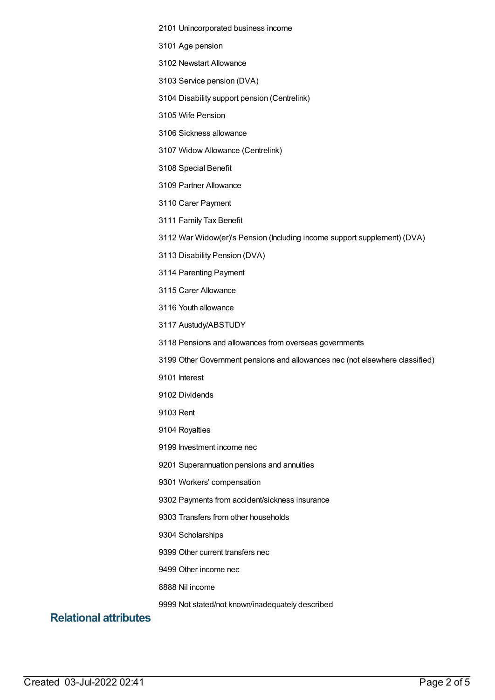#### Unincorporated business income

Age pension

Newstart Allowance

Service pension (DVA)

Disability support pension (Centrelink)

Wife Pension

Sickness allowance

Widow Allowance (Centrelink)

Special Benefit

Partner Allowance

Carer Payment

Family Tax Benefit

War Widow(er)'s Pension (Including income support supplement) (DVA)

Disability Pension (DVA)

Parenting Payment

Carer Allowance

Youth allowance

Austudy/ABSTUDY

Pensions and allowances from overseas governments

Other Government pensions and allowances nec (not elsewhere classified)

Interest

Dividends

Rent

Royalties

Investment income nec

Superannuation pensions and annuities

Workers' compensation

Payments from accident/sickness insurance

Transfers from other households

Scholarships

Other current transfers nec

Other income nec

Nil income

Not stated/not known/inadequately described

### **Relational attributes**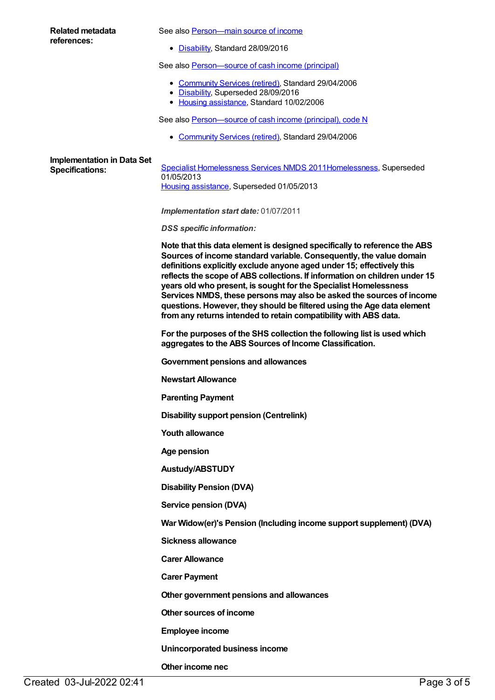#### **Related metadata references:**

See also Person-main source of income

• [Disability](https://meteor.aihw.gov.au/RegistrationAuthority/16), Standard 28/09/2016

See also [Person—source](https://meteor.aihw.gov.au/content/321061) of cash income (principal)

- [Community](https://meteor.aihw.gov.au/RegistrationAuthority/1) Services (retired), Standard 29/04/2006
- [Disability](https://meteor.aihw.gov.au/RegistrationAuthority/16), Superseded 28/09/2016
- Housing [assistance](https://meteor.aihw.gov.au/RegistrationAuthority/11), Standard 10/02/2006

See also Person-source of cash income (principal), code N

• [Community](https://meteor.aihw.gov.au/RegistrationAuthority/1) Services (retired), Standard 29/04/2006

# **Implementation in Data Set**

**Specialist [Homelessness](https://meteor.aihw.gov.au/content/398238) Services NMDS 201[1Homelessness](https://meteor.aihw.gov.au/RegistrationAuthority/14), Superseded Specifications:** 01/05/2013 Housing [assistance](https://meteor.aihw.gov.au/RegistrationAuthority/11), Superseded 01/05/2013

*Implementation start date:* 01/07/2011

*DSS specific information:*

**Note that this data element is designed specifically to reference the ABS Sources of income standard variable. Consequently, the value domain definitions explicitly exclude anyone aged under 15; effectively this reflects the scope of ABS collections. If information on children under 15 years old who present, is sought for the Specialist Homelessness Services NMDS, these persons may also be asked the sources of income questions. However, they should be filtered using the Age data element fromany returns intended to retain compatibility with ABS data.**

**For the purposes of the SHS collection the following list is used which aggregates to the ABS Sources of Income Classification.**

**Government pensions and allowances**

**Newstart Allowance**

**Parenting Payment**

**Disability support pension (Centrelink)**

**Youth allowance**

**Age pension**

**Austudy/ABSTUDY**

**Disability Pension (DVA)**

**Service pension (DVA)**

**War Widow(er)'s Pension (Including income support supplement) (DVA)**

**Sickness allowance**

**Carer Allowance**

**Carer Payment**

**Other government pensions and allowances**

**Other sources of income**

**Employee income**

**Unincorporated business income**

### **Other income nec**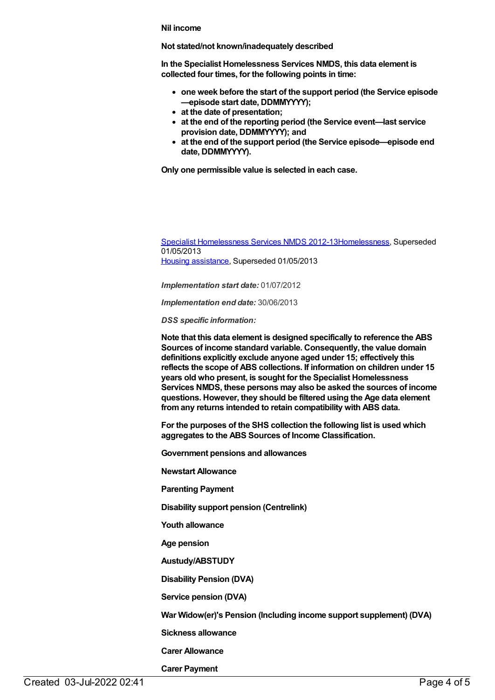#### **Nil income**

#### **Not stated/not known/inadequately described**

**In the Specialist Homelessness Services NMDS, this data element is collected four times, for the following points in time:**

- **one week before the start of the support period (the Service episode —episode start date, DDMMYYYY);**
- **at the date of presentation;**
- **at the end of the reporting period (the Service event—last service provision date, DDMMYYYY); and**
- **at the end of the support period (the Service episode—episode end date, DDMMYYYY).**

**Only one permissible value is selected in each case.**

Specialist [Homelessness](https://meteor.aihw.gov.au/content/508954) Services NMDS 2012-1[3Homelessness](https://meteor.aihw.gov.au/RegistrationAuthority/14), Superseded 01/05/2013 Housing [assistance](https://meteor.aihw.gov.au/RegistrationAuthority/11), Superseded 01/05/2013

*Implementation start date:* 01/07/2012

*Implementation end date:* 30/06/2013

*DSS specific information:*

**Note that this data element is designed specifically to reference the ABS Sources of income standard variable. Consequently, the value domain definitions explicitly exclude anyone aged under 15; effectively this reflects the scope of ABS collections. If information on children under 15 years old who present, is sought for the Specialist Homelessness Services NMDS, these persons may also be asked the sources of income questions. However, they should be filtered using the Age data element fromany returns intended to retain compatibility with ABS data.**

**For the purposes of the SHS collection the following list is used which aggregates to the ABS Sources of Income Classification.**

**Government pensions and allowances**

**Newstart Allowance**

**Parenting Payment**

**Disability support pension (Centrelink)**

**Youth allowance**

**Age pension**

**Austudy/ABSTUDY**

**Disability Pension (DVA)**

**Service pension (DVA)**

**War Widow(er)'s Pension (Including income support supplement) (DVA)**

**Sickness allowance**

**Carer Allowance**

**Carer Payment**